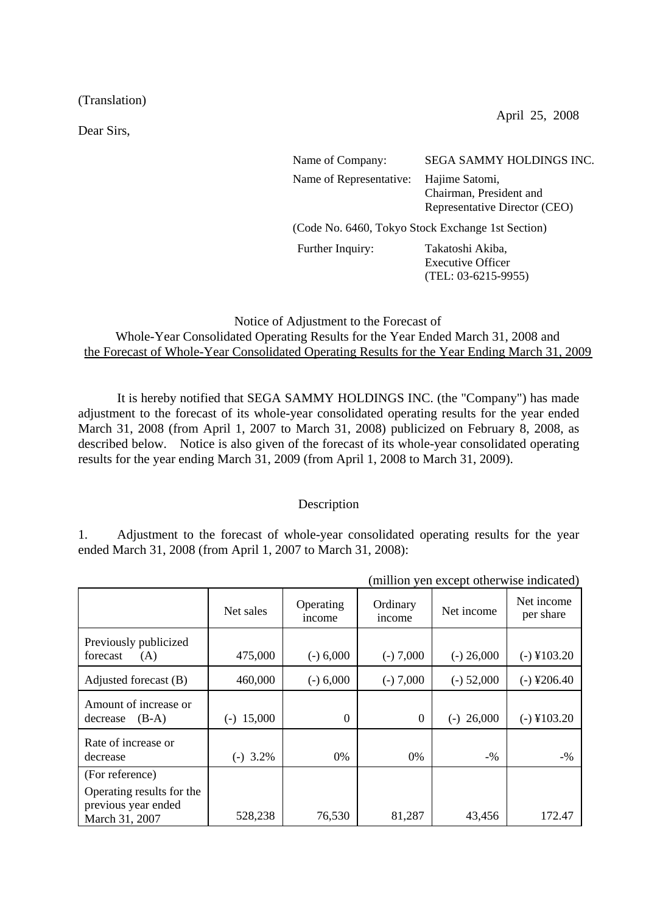(Translation)

Dear Sirs,

April 25, 2008

Name of Company: SEGA SAMMY HOLDINGS INC. Name of Representative: Hajime Satomi,

Chairman, President and Representative Director (CEO)

(Code No. 6460, Tokyo Stock Exchange 1st Section)

Further Inquiry: Takatoshi Akiba, Executive Officer (TEL: 03-6215-9955)

Notice of Adjustment to the Forecast of Whole-Year Consolidated Operating Results for the Year Ended March 31, 2008 and the Forecast of Whole-Year Consolidated Operating Results for the Year Ending March 31, 2009

 It is hereby notified that SEGA SAMMY HOLDINGS INC. (the "Company") has made adjustment to the forecast of its whole-year consolidated operating results for the year ended March 31, 2008 (from April 1, 2007 to March 31, 2008) publicized on February 8, 2008, as described below. Notice is also given of the forecast of its whole-year consolidated operating results for the year ending March 31, 2009 (from April 1, 2008 to March 31, 2009).

## Description

1. Adjustment to the forecast of whole-year consolidated operating results for the year ended March 31, 2008 (from April 1, 2007 to March 31, 2008):

|                                                                                       | (million yen except otherwise indicated) |                     |                    |                 |                         |  |
|---------------------------------------------------------------------------------------|------------------------------------------|---------------------|--------------------|-----------------|-------------------------|--|
|                                                                                       | Net sales                                | Operating<br>income | Ordinary<br>income | Net income      | Net income<br>per share |  |
| Previously publicized<br>forecast<br>(A)                                              | 475,000                                  | $(-) 6,000$         | $(-) 7,000$        | $(-) 26,000$    | $(-)$ ¥103.20           |  |
| Adjusted forecast (B)                                                                 | 460,000                                  | $(-) 6,000$         | $(-) 7,000$        | $(-)$ 52,000    | $(-)$ ¥206.40           |  |
| Amount of increase or<br>$(B-A)$<br>decrease                                          | 15,000<br>$(-)$                          | $\overline{0}$      | $\Omega$           | 26,000<br>$(-)$ | $(-)$ ¥103.20           |  |
| Rate of increase or<br>decrease                                                       | $(-)$ 3.2%                               | 0%                  | 0%                 | $-9/0$          | $-9/0$                  |  |
| (For reference)<br>Operating results for the<br>previous year ended<br>March 31, 2007 | 528,238                                  | 76,530              | 81,287             | 43,456          | 172.47                  |  |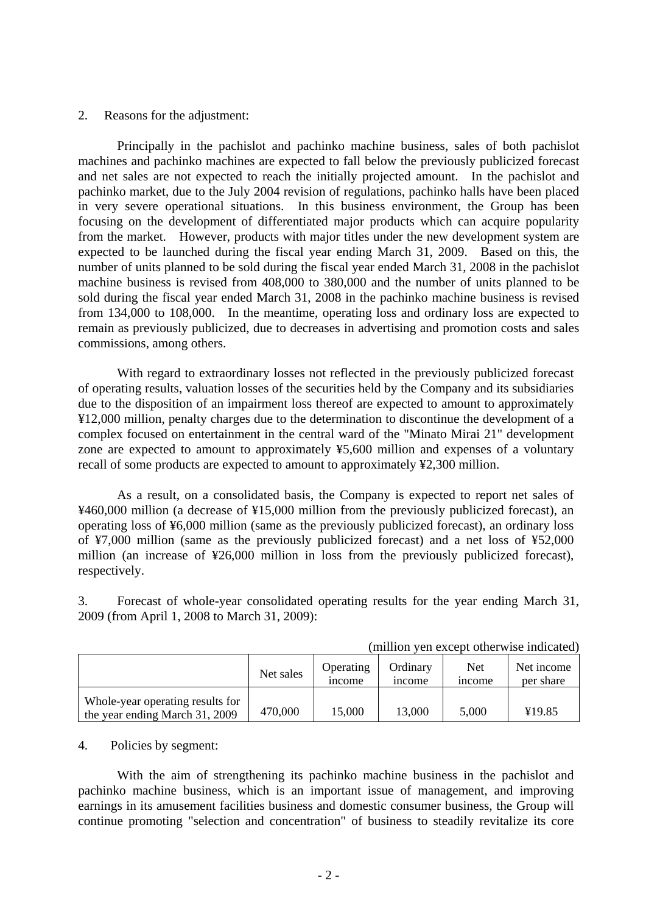## 2. Reasons for the adjustment:

 Principally in the pachislot and pachinko machine business, sales of both pachislot machines and pachinko machines are expected to fall below the previously publicized forecast and net sales are not expected to reach the initially projected amount. In the pachislot and pachinko market, due to the July 2004 revision of regulations, pachinko halls have been placed in very severe operational situations. In this business environment, the Group has been focusing on the development of differentiated major products which can acquire popularity from the market. However, products with major titles under the new development system are expected to be launched during the fiscal year ending March 31, 2009. Based on this, the number of units planned to be sold during the fiscal year ended March 31, 2008 in the pachislot machine business is revised from 408,000 to 380,000 and the number of units planned to be sold during the fiscal year ended March 31, 2008 in the pachinko machine business is revised from 134,000 to 108,000. In the meantime, operating loss and ordinary loss are expected to remain as previously publicized, due to decreases in advertising and promotion costs and sales commissions, among others.

 With regard to extraordinary losses not reflected in the previously publicized forecast of operating results, valuation losses of the securities held by the Company and its subsidiaries due to the disposition of an impairment loss thereof are expected to amount to approximately ¥12,000 million, penalty charges due to the determination to discontinue the development of a complex focused on entertainment in the central ward of the "Minato Mirai 21" development zone are expected to amount to approximately ¥5,600 million and expenses of a voluntary recall of some products are expected to amount to approximately ¥2,300 million.

 As a result, on a consolidated basis, the Company is expected to report net sales of ¥460,000 million (a decrease of ¥15,000 million from the previously publicized forecast), an operating loss of ¥6,000 million (same as the previously publicized forecast), an ordinary loss of ¥7,000 million (same as the previously publicized forecast) and a net loss of ¥52,000 million (an increase of ¥26,000 million in loss from the previously publicized forecast), respectively.

3. Forecast of whole-year consolidated operating results for the year ending March 31, 2009 (from April 1, 2008 to March 31, 2009):

|                                                                    | $\cdots$<br>, wil wild who well as the filmly decode |                                 |                           |                             |                         |  |
|--------------------------------------------------------------------|------------------------------------------------------|---------------------------------|---------------------------|-----------------------------|-------------------------|--|
|                                                                    | Net sales                                            | Operating<br><sub>1</sub> ncome | Ordinarv<br><i>n</i> come | <b>Net</b><br><i>n</i> come | Net income<br>per share |  |
| Whole-year operating results for<br>the year ending March 31, 2009 | 470,000                                              | 15,000                          | 13,000                    | 5,000                       | ¥19.85                  |  |

(million yen except otherwise indicated)

## 4. Policies by segment:

With the aim of strengthening its pachinko machine business in the pachislot and pachinko machine business, which is an important issue of management, and improving earnings in its amusement facilities business and domestic consumer business, the Group will continue promoting "selection and concentration" of business to steadily revitalize its core